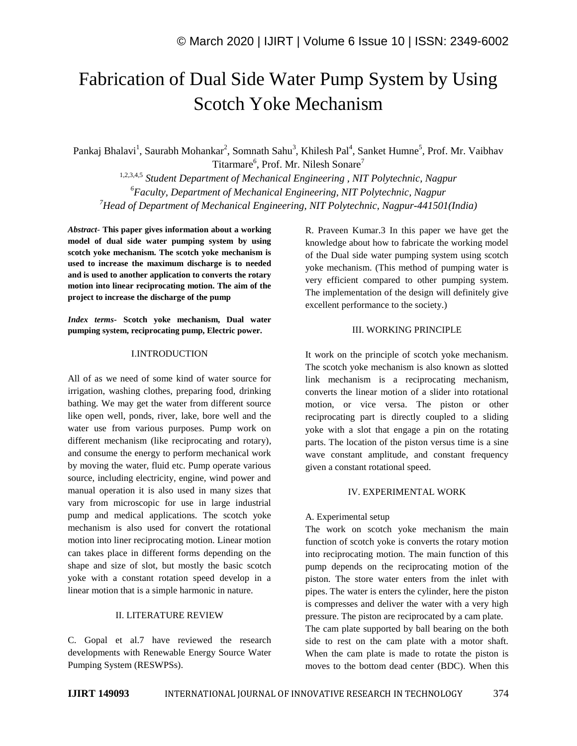# Fabrication of Dual Side Water Pump System by Using Scotch Yoke Mechanism

Pankaj Bhalavi<sup>1</sup>, Saurabh Mohankar<sup>2</sup>, Somnath Sahu<sup>3</sup>, Khilesh Pal<sup>4</sup>, Sanket Humne<sup>5</sup>, Prof. Mr. Vaibhav Titarmare<sup>6</sup>, Prof. Mr. Nilesh Sonare<sup>7</sup>

1,2,3,4,5 *Student Department of Mechanical Engineering , NIT Polytechnic, Nagpur <sup>6</sup>Faculty, Department of Mechanical Engineering, NIT Polytechnic, Nagpur <sup>7</sup>Head of Department of Mechanical Engineering, NIT Polytechnic, Nagpur-441501(India)*

*Abstract*- **This paper gives information about a working model of dual side water pumping system by using scotch yoke mechanism. The scotch yoke mechanism is used to increase the maximum discharge is to needed and is used to another application to converts the rotary motion into linear reciprocating motion. The aim of the project to increase the discharge of the pump**

*Index terms***- Scotch yoke mechanism, Dual water pumping system, reciprocating pump, Electric power.**

# I.INTRODUCTION

All of as we need of some kind of water source for irrigation, washing clothes, preparing food, drinking bathing. We may get the water from different source like open well, ponds, river, lake, bore well and the water use from various purposes. Pump work on different mechanism (like reciprocating and rotary), and consume the energy to perform mechanical work by moving the water, fluid etc. Pump operate various source, including electricity, engine, wind power and manual operation it is also used in many sizes that vary from microscopic for use in large industrial pump and medical applications. The scotch yoke mechanism is also used for convert the rotational motion into liner reciprocating motion. Linear motion can takes place in different forms depending on the shape and size of slot, but mostly the basic scotch yoke with a constant rotation speed develop in a linear motion that is a simple harmonic in nature.

# II. LITERATURE REVIEW

C. Gopal et al.7 have reviewed the research developments with Renewable Energy Source Water Pumping System (RESWPSs).

R. Praveen Kumar.3 In this paper we have get the knowledge about how to fabricate the working model of the Dual side water pumping system using scotch yoke mechanism. (This method of pumping water is very efficient compared to other pumping system. The implementation of the design will definitely give excellent performance to the society.)

## III. WORKING PRINCIPLE

It work on the principle of scotch yoke mechanism. The scotch yoke mechanism is also known as slotted link mechanism is a reciprocating mechanism, converts the linear motion of a slider into rotational motion, or vice versa. The piston or other reciprocating part is directly coupled to a sliding yoke with a slot that engage a pin on the rotating parts. The location of the piston versus time is a sine wave constant amplitude, and constant frequency given a constant rotational speed.

# IV. EXPERIMENTAL WORK

### A. Experimental setup

The work on scotch yoke mechanism the main function of scotch yoke is converts the rotary motion into reciprocating motion. The main function of this pump depends on the reciprocating motion of the piston. The store water enters from the inlet with pipes. The water is enters the cylinder, here the piston is compresses and deliver the water with a very high pressure. The piston are reciprocated by a cam plate.

The cam plate supported by ball bearing on the both side to rest on the cam plate with a motor shaft. When the cam plate is made to rotate the piston is moves to the bottom dead center (BDC). When this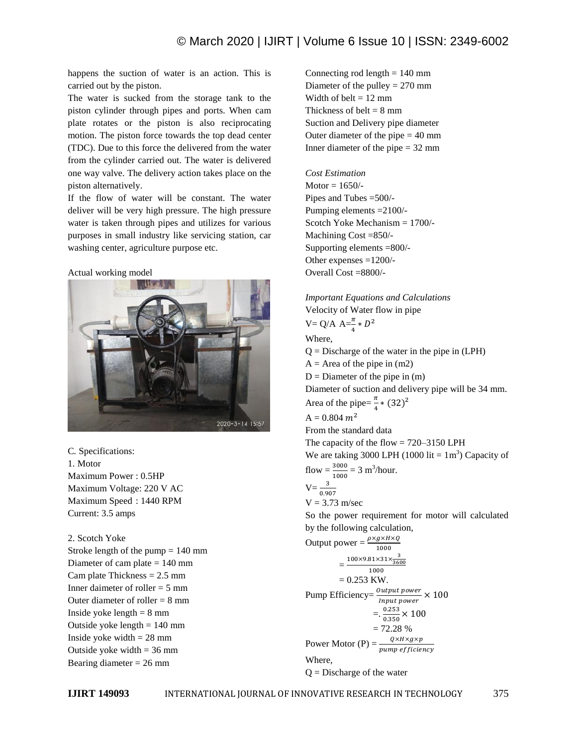happens the suction of water is an action. This is carried out by the piston.

The water is sucked from the storage tank to the piston cylinder through pipes and ports. When cam plate rotates or the piston is also reciprocating motion. The piston force towards the top dead center (TDC). Due to this force the delivered from the water from the cylinder carried out. The water is delivered one way valve. The delivery action takes place on the piston alternatively.

If the flow of water will be constant. The water deliver will be very high pressure. The high pressure water is taken through pipes and utilizes for various purposes in small industry like servicing station, car washing center, agriculture purpose etc.

## Actual working model



C*.* Specifications: 1. Motor Maximum Power : 0.5HP Maximum Voltage: 220 V AC Maximum Speed : 1440 RPM Current: 3.5 amps

2. Scotch Yoke Stroke length of the pump = 140 mm Diameter of cam plate  $= 140$  mm Cam plate Thickness  $= 2.5$  mm Inner daimeter of roller = 5 mm Outer diameter of roller  $= 8$  mm Inside yoke length  $= 8$  mm Outside yoke length  $= 140$  mm Inside yoke width  $= 28$  mm Outside yoke width  $=$  36 mm Bearing diameter  $= 26$  mm

Connecting rod length  $= 140$  mm Diameter of the pulley = 270 mm Width of belt  $= 12$  mm Thickness of belt  $= 8$  mm Suction and Delivery pipe diameter Outer diameter of the pipe  $= 40$  mm Inner diameter of the pipe = 32 mm

*Cost Estimation* Motor  $= 1650/$ -Pipes and Tubes =500/- Pumping elements =2100/- Scotch Yoke Mechanism = 1700/- Machining Cost =850/- Supporting elements =800/- Other expenses =1200/- Overall Cost =8800/-

*Important Equations and Calculations* Velocity of Water flow in pipe  $V = Q/A A = \frac{\pi}{4} * D^2$ Where,  $Q =$  Discharge of the water in the pipe in  $(LPH)$  $A =$  Area of the pipe in  $(m2)$  $D =$ Diameter of the pipe in  $(m)$ Diameter of suction and delivery pipe will be 34 mm. Area of the pipe= $\frac{\pi}{4}$  \* (32)<sup>2</sup>  $A = 0.804$   $m<sup>2</sup>$ From the standard data The capacity of the flow = 720–3150 LPH We are taking 3000 LPH  $(1000$  lit =  $1 \text{ m}^3)$  Capacity of flow  $=$   $\frac{3000}{1000}$   $=$  3 m<sup>3</sup>/hour.  $\overline{\mathbf{3}}$  $V=\frac{1}{0}$  $V = 3.73$  m/sec So the power requirement for motor will calculated by the following calculation, Output power =  $\frac{\rho}{\rho}$ 1000  $=\frac{100\times9.81\times31\times\frac{3}{360}}{1000}$ 1000  $= 0.253$  KW. Pump Efficiency= $\frac{0}{1}$  $\times 100$ I  $=$ .  $\frac{0}{2}$  $\frac{0.253}{0.350}$  X  $= 72.28 %$ Power Motor (P) =  $\frac{Q}{pum_i}$ Where,  $Q =$  Discharge of the water